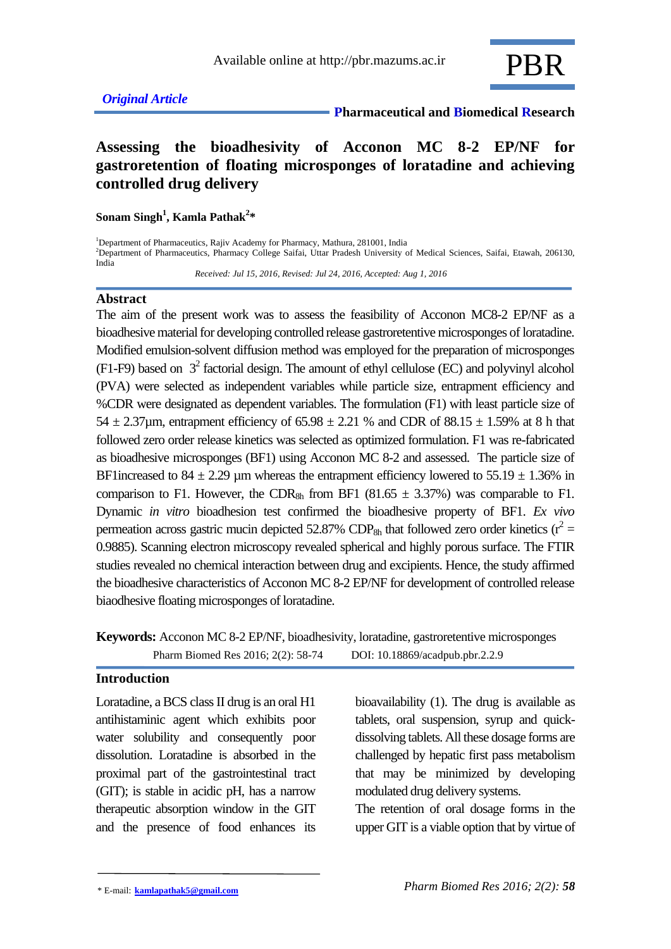

 **Pharmaceutical and Biomedical Research**

# **Assessing the bioadhesivity of Acconon MC 8-2 EP/NF for gastroretention of floating microsponges of loratadine and achieving controlled drug delivery**

**Sonam Singh<sup>1</sup> , Kamla Pathak<sup>2</sup> \***

<sup>1</sup>Department of Pharmaceutics, Rajiv Academy for Pharmacy, Mathura, 281001, India

<sup>2</sup>Department of Pharmaceutics, Pharmacy College Saifai, Uttar Pradesh University of Medical Sciences, Saifai, Etawah, 206130, India

 *Received: Jul 15, 2016, Revised: Jul 24, 2016, Accepted: Aug 1, 2016*

#### **Abstract**

The aim of the present work was to assess the feasibility of Acconon MC8-2 EP/NF as a bioadhesive material for developing controlled release gastroretentive microsponges of loratadine. Modified emulsion-solvent diffusion method was employed for the preparation of microsponges  $(F1-F9)$  based on  $3<sup>2</sup>$  factorial design. The amount of ethyl cellulose (EC) and polyvinyl alcohol (PVA) were selected as independent variables while particle size, entrapment efficiency and %CDR were designated as dependent variables. The formulation (F1) with least particle size of  $54 \pm 2.37 \mu$ m, entrapment efficiency of  $65.98 \pm 2.21$  % and CDR of  $88.15 \pm 1.59$ % at 8 h that followed zero order release kinetics was selected as optimized formulation. F1 was re-fabricated as bioadhesive microsponges (BF1) using Acconon MC 8-2 and assessed. The particle size of BF1increased to  $84 \pm 2.29$  µm whereas the entrapment efficiency lowered to  $55.19 \pm 1.36\%$  in comparison to F1. However, the CDR<sub>8h</sub> from BF1 (81.65  $\pm$  3.37%) was comparable to F1. Dynamic *in vitro* bioadhesion test confirmed the bioadhesive property of BF1. *Ex vivo* permeation across gastric mucin depicted 52.87% CDP<sub>8h</sub> that followed zero order kinetics ( $r^2$  = 0.9885). Scanning electron microscopy revealed spherical and highly porous surface. The FTIR studies revealed no chemical interaction between drug and excipients. Hence, the study affirmed the bioadhesive characteristics of Acconon MC 8-2 EP/NF for development of controlled release biaodhesive floating microsponges of loratadine.

**Keywords:** Acconon MC 8-2 EP/NF, bioadhesivity, loratadine, gastroretentive microsponges Pharm Biomed Res 2016; 2(2): 58-74 DOI: 10.18869/acadpub.pbr.2.2.9

### **Introduction**

Loratadine, a BCS class II drug is an oral H1 antihistaminic agent which exhibits poor water solubility and consequently poor dissolution. Loratadine is absorbed in the proximal part of the gastrointestinal tract (GIT); is stable in acidic pH, has a narrow therapeutic absorption window in the GIT and the presence of food enhances its

bioavailability (1). The drug is available as tablets, oral suspension, syrup and quickdissolving tablets. All these dosage forms are challenged by hepatic first pass metabolism that may be minimized by developing modulated drug delivery systems.

The retention of oral dosage forms in the upper GIT is a viable option that by virtue of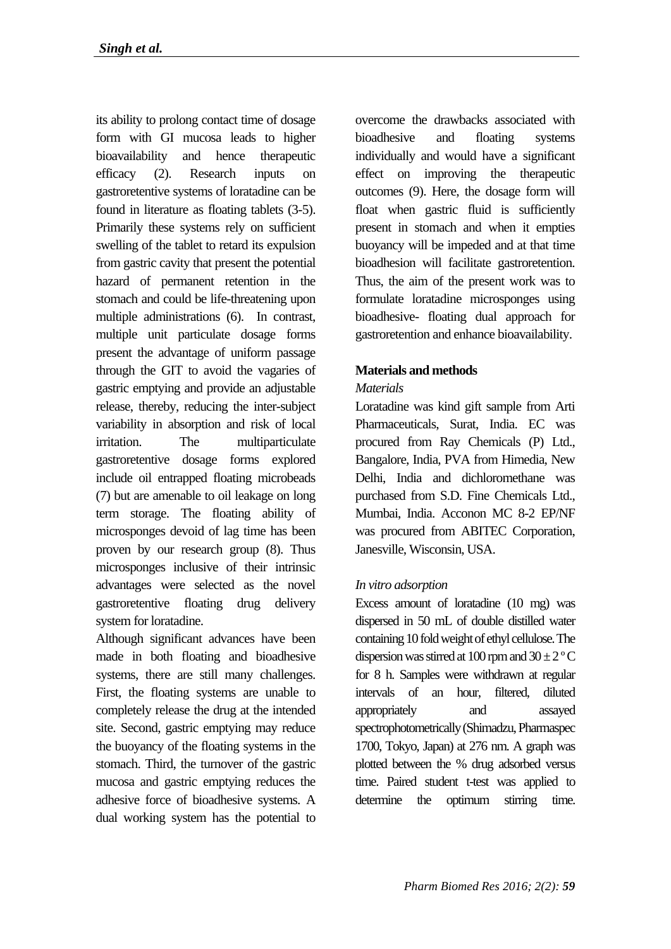its ability to prolong contact time of dosage form with GI mucosa leads to higher bioavailability and hence therapeutic efficacy (2). Research inputs on gastroretentive systems of loratadine can be found in literature as floating tablets (3-5). Primarily these systems rely on sufficient swelling of the tablet to retard its expulsion from gastric cavity that present the potential hazard of permanent retention in the stomach and could be life-threatening upon multiple administrations (6). In contrast, multiple unit particulate dosage forms present the advantage of uniform passage through the GIT to avoid the vagaries of gastric emptying and provide an adjustable release, thereby, reducing the inter-subject variability in absorption and risk of local irritation. The multiparticulate gastroretentive dosage forms explored include oil entrapped floating microbeads (7) but are amenable to oil leakage on long term storage. The floating ability of microsponges devoid of lag time has been proven by our research group (8). Thus microsponges inclusive of their intrinsic advantages were selected as the novel gastroretentive floating drug delivery system for loratadine.

Although significant advances have been made in both floating and bioadhesive systems, there are still many challenges. First, the floating systems are unable to completely release the drug at the intended site. Second, gastric emptying may reduce the buoyancy of the floating systems in the stomach. Third, the turnover of the gastric mucosa and gastric emptying reduces the adhesive force of bioadhesive systems. A dual working system has the potential to

overcome the drawbacks associated with bioadhesive and floating systems individually and would have a significant effect on improving the therapeutic outcomes (9). Here, the dosage form will float when gastric fluid is sufficiently present in stomach and when it empties buoyancy will be impeded and at that time bioadhesion will facilitate gastroretention. Thus, the aim of the present work was to formulate loratadine microsponges using bioadhesive- floating dual approach for gastroretention and enhance bioavailability.

## **Materials and methods**

### *Materials*

Loratadine was kind gift sample from Arti Pharmaceuticals, Surat, India. EC was procured from Ray Chemicals (P) Ltd., Bangalore, India, PVA from Himedia, New Delhi, India and dichloromethane was purchased from S.D. Fine Chemicals Ltd., Mumbai, India. Acconon MC 8-2 EP/NF was procured from ABITEC Corporation, Janesville, Wisconsin, USA.

### *In vitro adsorption*

Excess amount of loratadine (10 mg) was dispersed in 50 mL of double distilled water containing 10 fold weight of ethyl cellulose. The dispersion was stirred at 100 rpm and  $30 \pm 2^{\circ}$ C for 8 h. Samples were withdrawn at regular intervals of an hour, filtered, diluted appropriately and assayed spectrophotometrically (Shimadzu, Pharmaspec 1700, Tokyo, Japan) at 276 nm. A graph was plotted between the % drug adsorbed versus time. Paired student t-test was applied to determine the optimum stirring time.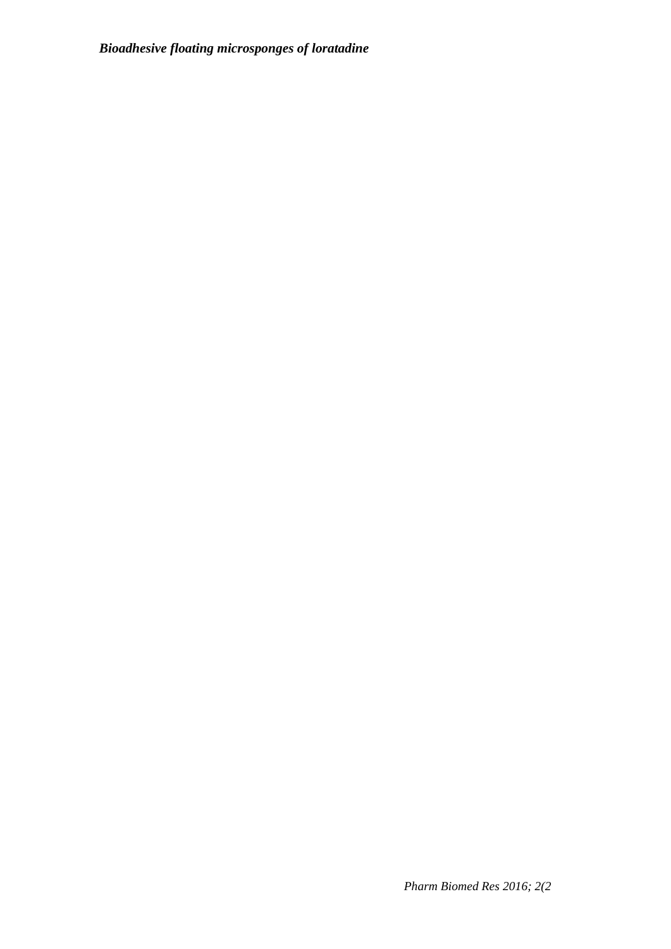*Bioadhesive floating microsponges of loratadine*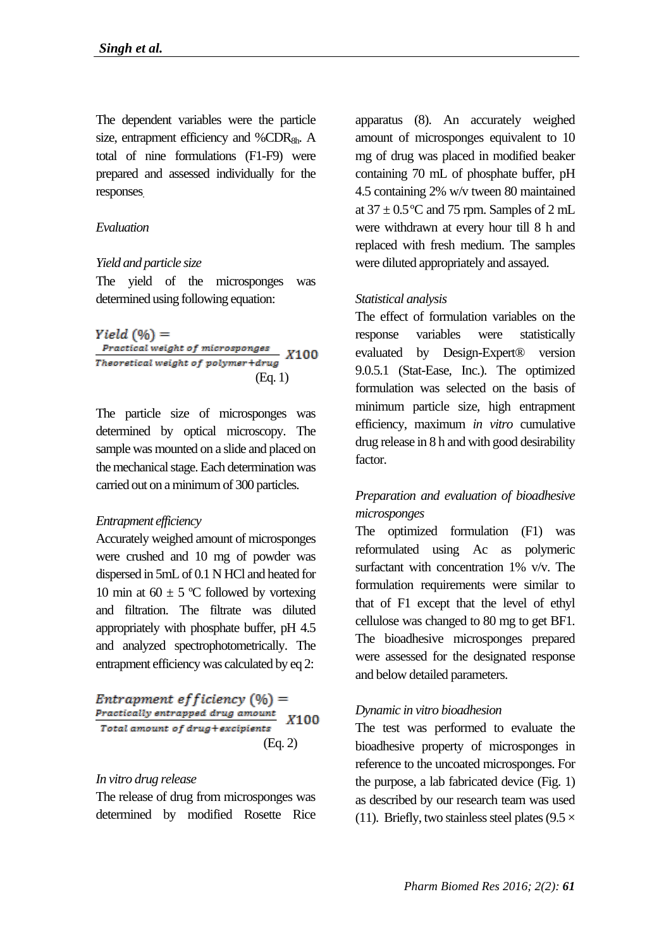The dependent variables were the particle size, entrapment efficiency and % $CDR_{8h}$ . A total of nine formulations (F1-F9) were prepared and assessed individually for the responses.

### *Evaluation*

## *Yield and particle size*

The yield of the microsponges was determined using following equation:

#### $Yield(%) =$ Practical weight of microsponges - *X*100 Theoretical weight of polymer+drug (Eq. 1)

The particle size of microsponges was determined by optical microscopy. The sample was mounted on a slide and placed on the mechanical stage. Each determination was carried out on a minimum of 300 particles.

### *Entrapment efficiency*

Accurately weighed amount of microsponges were crushed and 10 mg of powder was dispersed in 5mL of 0.1 N HCl and heated for 10 min at 60  $\pm$  5 °C followed by vortexing and filtration. The filtrate was diluted appropriately with phosphate buffer, pH 4.5 and analyzed spectrophotometrically. The entrapment efficiency was calculated by eq 2:

Entrapment efficiency  $(\%) =$ Practically entrapped drug amount  $X100$ Total amount of drug+excipients (Eq. 2)

## *In vitro drug release*

The release of drug from microsponges was determined by modified Rosette Rice apparatus (8). An accurately weighed amount of microsponges equivalent to 10 mg of drug was placed in modified beaker containing 70 mL of phosphate buffer, pH 4.5 containing 2% w/v tween 80 maintained at  $37 \pm 0.5^{\circ}$ C and 75 rpm. Samples of 2 mL were withdrawn at every hour till 8 h and replaced with fresh medium. The samples were diluted appropriately and assayed.

### *Statistical analysis*

The effect of formulation variables on the response variables were statistically evaluated by Design-Expert® version 9.0.5.1 (Stat-Ease, Inc.). The optimized formulation was selected on the basis of minimum particle size, high entrapment efficiency, maximum *in vitro* cumulative drug release in 8 h and with good desirability factor.

# *Preparation and evaluation of bioadhesive microsponges*

The optimized formulation (F1) was reformulated using Ac as polymeric surfactant with concentration 1% v/v. The formulation requirements were similar to that of F1 except that the level of ethyl cellulose was changed to 80 mg to get BF1. The bioadhesive microsponges prepared were assessed for the designated response and below detailed parameters.

### *Dynamic in vitro bioadhesion*

The test was performed to evaluate the bioadhesive property of microsponges in reference to the uncoated microsponges. For the purpose, a lab fabricated device (Fig. 1) as described by our research team was used (11). Briefly, two stainless steel plates (9.5  $\times$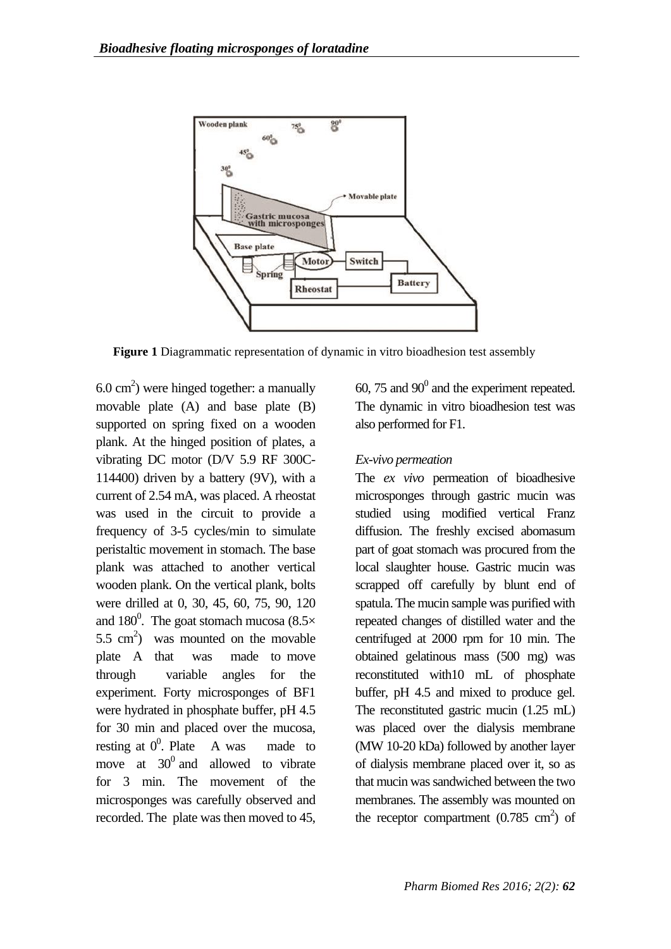

**Figure 1** Diagrammatic representation of dynamic in vitro bioadhesion test assembly

 $6.0 \text{ cm}^2$ ) were hinged together: a manually movable plate (A) and base plate (B) supported on spring fixed on a wooden plank. At the hinged position of plates, a vibrating DC motor (D/V 5.9 RF 300C-114400) driven by a battery (9V), with a current of 2.54 mA, was placed. A rheostat was used in the circuit to provide a frequency of 3-5 cycles/min to simulate peristaltic movement in stomach. The base plank was attached to another vertical wooden plank. On the vertical plank, bolts were drilled at 0, 30, 45, 60, 75, 90, 120 and 180<sup>0</sup>. The goat stomach mucosa (8.5 $\times$ 5.5 cm<sup>2</sup>) was mounted on the movable plate A that was made to move through variable angles for the experiment. Forty microsponges of BF1 were hydrated in phosphate buffer, pH 4.5 for 30 min and placed over the mucosa, resting at  $0^0$ . Plate A was made to move at  $30^0$  and allowed to vibrate for 3 min. The movement of the microsponges was carefully observed and recorded. The plate was then moved to 45,

60, 75 and  $90^{\circ}$  and the experiment repeated. The dynamic in vitro bioadhesion test was also performed for F1.

### *Ex-vivo permeation*

The *ex vivo* permeation of bioadhesive microsponges through gastric mucin was studied using modified vertical Franz diffusion. The freshly excised abomasum part of goat stomach was procured from the local slaughter house. Gastric mucin was scrapped off carefully by blunt end of spatula. The mucin sample was purified with repeated changes of distilled water and the centrifuged at 2000 rpm for 10 min. The obtained gelatinous mass (500 mg) was reconstituted with10 mL of phosphate buffer, pH 4.5 and mixed to produce gel. The reconstituted gastric mucin (1.25 mL) was placed over the dialysis membrane (MW 10-20 kDa) followed by another layer of dialysis membrane placed over it, so as that mucin was sandwiched between the two membranes. The assembly was mounted on the receptor compartment  $(0.785 \text{ cm}^2)$  of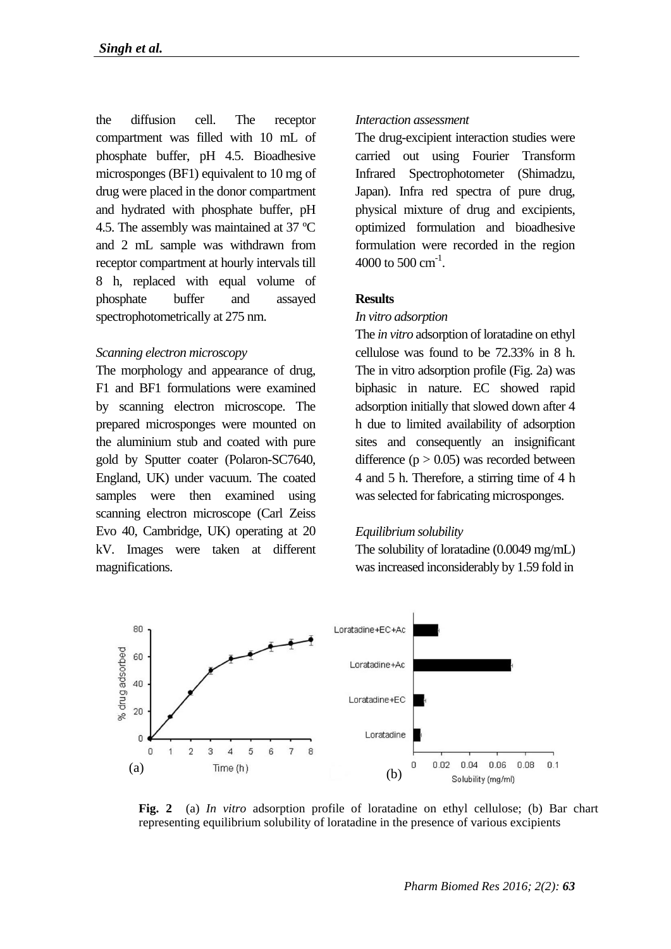the diffusion cell. The receptor compartment was filled with 10 mL of phosphate buffer, pH 4.5. Bioadhesive microsponges (BF1) equivalent to 10 mg of drug were placed in the donor compartment and hydrated with phosphate buffer, pH 4.5. The assembly was maintained at 37 ºC and 2 mL sample was withdrawn from receptor compartment at hourly intervals till 8 h, replaced with equal volume of phosphate buffer and assayed spectrophotometrically at 275 nm.

### *Scanning electron microscopy*

The morphology and appearance of drug, F1 and BF1 formulations were examined by scanning electron microscope. The prepared microsponges were mounted on the aluminium stub and coated with pure gold by Sputter coater (Polaron-SC7640, England, UK) under vacuum. The coated samples were then examined using scanning electron microscope (Carl Zeiss Evo 40, Cambridge, UK) operating at 20 kV. Images were taken at different magnifications.

### *Interaction assessment*

The drug-excipient interaction studies were carried out using Fourier Transform Infrared Spectrophotometer (Shimadzu, Japan). Infra red spectra of pure drug, physical mixture of drug and excipients, optimized formulation and bioadhesive formulation were recorded in the region 4000 to 500  $\text{cm}^{\text{-}1}$ .

## **Results**

### *In vitro adsorption*

The *in vitro* adsorption of loratadine on ethyl cellulose was found to be 72.33% in 8 h. The in vitro adsorption profile (Fig. 2a) was biphasic in nature. EC showed rapid adsorption initially that slowed down after 4 h due to limited availability of adsorption sites and consequently an insignificant difference  $(p > 0.05)$  was recorded between 4 and 5 h. Therefore, a stirring time of 4 h was selected for fabricating microsponges.

## *Equilibrium solubility*

The solubility of loratadine (0.0049 mg/mL) was increased inconsiderably by 1.59 fold in



**Fig. 2** (a) *In vitro* adsorption profile of loratadine on ethyl cellulose; (b) Bar chart representing equilibrium solubility of loratadine in the presence of various excipients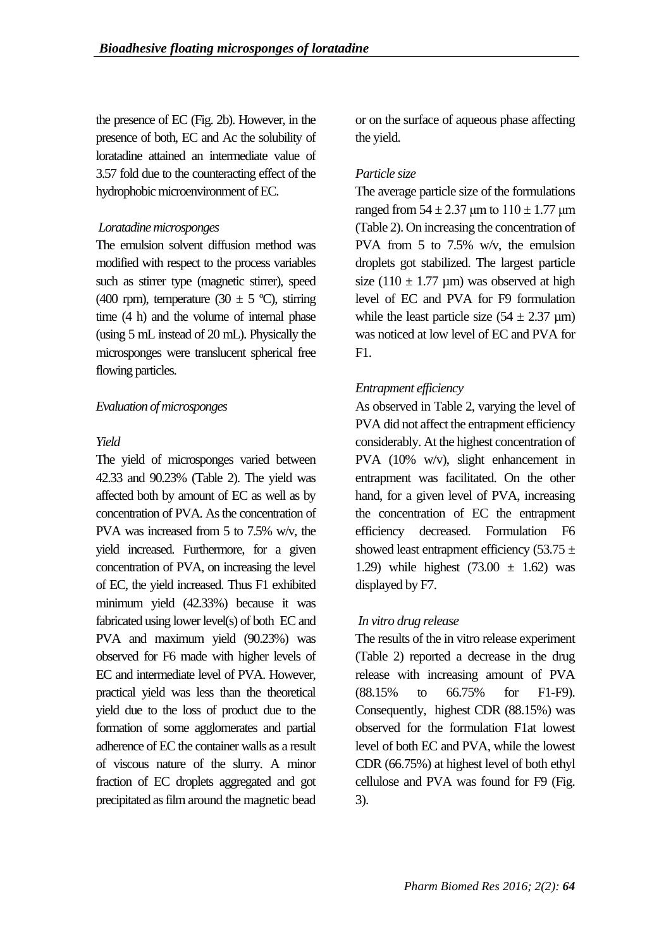the presence of EC (Fig. 2b). However, in the presence of both, EC and Ac the solubility of loratadine attained an intermediate value of 3.57 fold due to the counteracting effect of the hydrophobic microenvironment of EC.

#### *Loratadine microsponges*

The emulsion solvent diffusion method was modified with respect to the process variables such as stirrer type (magnetic stirrer), speed (400 rpm), temperature (30  $\pm$  5 °C), stirring time (4 h) and the volume of internal phase (using 5 mL instead of 20 mL). Physically the microsponges were translucent spherical free flowing particles.

### *Evaluation of microsponges*

### *Yield*

The yield of microsponges varied between 42.33 and 90.23% (Table 2). The yield was affected both by amount of EC as well as by concentration of PVA. As the concentration of PVA was increased from 5 to 7.5% w/v, the yield increased. Furthermore, for a given concentration of PVA, on increasing the level of EC, the yield increased. Thus F1 exhibited minimum yield (42.33%) because it was fabricated using lower level(s) of both EC and PVA and maximum yield (90.23%) was observed for F6 made with higher levels of EC and intermediate level of PVA. However, practical yield was less than the theoretical yield due to the loss of product due to the formation of some agglomerates and partial adherence of EC the container walls as a result of viscous nature of the slurry. A minor fraction of EC droplets aggregated and got precipitated as film around the magnetic bead

or on the surface of aqueous phase affecting the yield.

## *Particle size*

The average particle size of the formulations ranged from  $54 \pm 2.37$  μm to  $110 \pm 1.77$  μm (Table 2). On increasing the concentration of PVA from 5 to 7.5% w/v, the emulsion droplets got stabilized. The largest particle size (110  $\pm$  1.77 µm) was observed at high level of EC and PVA for F9 formulation while the least particle size  $(54 \pm 2.37 \text{ }\mu\text{m})$ was noticed at low level of EC and PVA for F1.

### *Entrapment efficiency*

As observed in Table 2, varying the level of PVA did not affect the entrapment efficiency considerably. At the highest concentration of PVA (10% w/v), slight enhancement in entrapment was facilitated. On the other hand, for a given level of PVA, increasing the concentration of EC the entrapment efficiency decreased. Formulation F6 showed least entrapment efficiency  $(53.75 \pm$ 1.29) while highest  $(73.00 \pm 1.62)$  was displayed by F7.

## *In vitro drug release*

The results of the in vitro release experiment (Table 2) reported a decrease in the drug release with increasing amount of PVA (88.15% to 66.75% for F1-F9). Consequently, highest CDR (88.15%) was observed for the formulation F1at lowest level of both EC and PVA, while the lowest CDR (66.75%) at highest level of both ethyl cellulose and PVA was found for F9 (Fig. 3).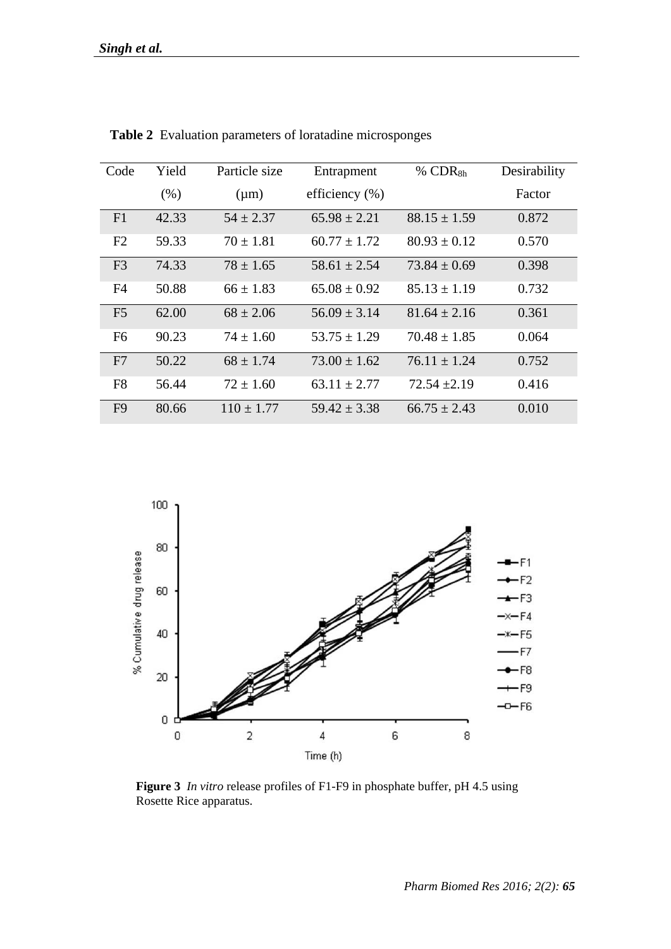| Code           | Yield | Particle size  | Entrapment         | $%$ CDR <sub>8h</sub> | Desirability |
|----------------|-------|----------------|--------------------|-----------------------|--------------|
|                | (% )  | $(\mu m)$      | efficiency $(\% )$ |                       | Factor       |
| F1             | 42.33 | $54 \pm 2.37$  | $65.98 \pm 2.21$   | $88.15 \pm 1.59$      | 0.872        |
| F2             | 59.33 | $70 \pm 1.81$  | $60.77 \pm 1.72$   | $80.93 \pm 0.12$      | 0.570        |
| F <sub>3</sub> | 74.33 | $78 \pm 1.65$  | $58.61 \pm 2.54$   | $73.84 \pm 0.69$      | 0.398        |
| F <sub>4</sub> | 50.88 | $66 \pm 1.83$  | $65.08 \pm 0.92$   | $85.13 \pm 1.19$      | 0.732        |
| F <sub>5</sub> | 62.00 | $68 \pm 2.06$  | $56.09 \pm 3.14$   | $81.64 \pm 2.16$      | 0.361        |
| F <sub>6</sub> | 90.23 | $74 \pm 1.60$  | $53.75 \pm 1.29$   | $70.48 \pm 1.85$      | 0.064        |
| F7             | 50.22 | $68 \pm 1.74$  | $73.00 \pm 1.62$   | $76.11 \pm 1.24$      | 0.752        |
| F <sub>8</sub> | 56.44 | $72 \pm 1.60$  | $63.11 \pm 2.77$   | $72.54 \pm 2.19$      | 0.416        |
| F <sub>9</sub> | 80.66 | $110 \pm 1.77$ | $59.42 \pm 3.38$   | $66.75 \pm 2.43$      | 0.010        |

**Table 2** Evaluation parameters of loratadine microsponges



**Figure 3** *In vitro* release profiles of F1-F9 in phosphate buffer, pH 4.5 using Rosette Rice apparatus.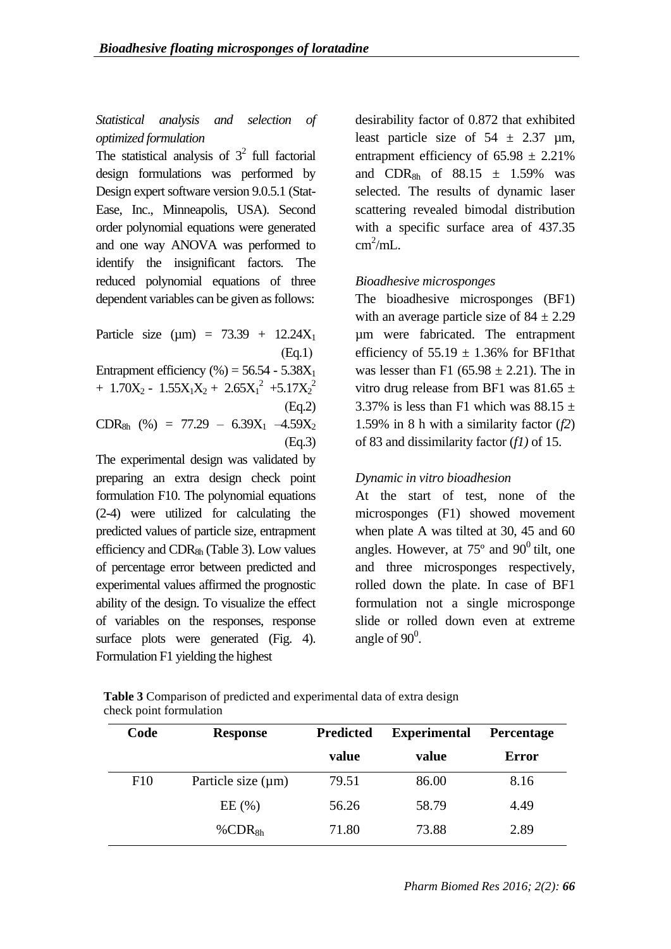*Statistical analysis and selection of optimized formulation*

The statistical analysis of  $3<sup>2</sup>$  full factorial design formulations was performed by Design expert software version 9.0.5.1 (Stat-Ease, Inc., Minneapolis, USA). Second order polynomial equations were generated and one way ANOVA was performed to identify the insignificant factors. The reduced polynomial equations of three dependent variables can be given as follows:

Particle size ( $\mu$ m) = 73.39 + 12.24 $X_1$  $(Ea.1)$ 

Entrapment efficiency  $%$  (%) = 56.54 - 5.38 $X_1$ + 1.70 $X_2$  - 1.55 $X_1X_2$  + 2.65 $X_1^2$  +5.17 $X_2^2$  $(Eq.2)$ 

 $CDR_{8h}$  (%) = 77.29 – 6.39X<sub>1</sub> –4.59X<sub>2</sub>  $(Eq.3)$ 

The experimental design was validated by preparing an extra design check point formulation F10. The polynomial equations (2-4) were utilized for calculating the predicted values of particle size, entrapment efficiency and CDR8h (Table 3). Low values of percentage error between predicted and experimental values affirmed the prognostic ability of the design. To visualize the effect of variables on the responses, response surface plots were generated (Fig. 4). Formulation F1 yielding the highest

desirability factor of 0.872 that exhibited least particle size of  $54 \pm 2.37$  µm, entrapment efficiency of  $65.98 \pm 2.21\%$ and CDR<sub>8h</sub> of 88.15  $\pm$  1.59% was selected. The results of dynamic laser scattering revealed bimodal distribution with a specific surface area of 437.35 cm 2 /mL.

### *Bioadhesive microsponges*

The bioadhesive microsponges (BF1) with an average particle size of  $84 \pm 2.29$ µm were fabricated. The entrapment efficiency of  $55.19 \pm 1.36\%$  for BF1that was lesser than F1 (65.98  $\pm$  2.21). The in vitro drug release from BF1 was 81.65  $\pm$ 3.37% is less than F1 which was 88.15  $\pm$ 1.59% in 8 h with a similarity factor (*f2*) of 83 and dissimilarity factor (*f1)* of 15.

### *Dynamic in vitro bioadhesion*

At the start of test, none of the microsponges (F1) showed movement when plate A was tilted at 30, 45 and 60 angles. However, at  $75^{\circ}$  and  $90^{\circ}$  tilt, one and three microsponges respectively, rolled down the plate. In case of BF1 formulation not a single microsponge slide or rolled down even at extreme angle of  $90^\circ$ .

| <b>Table 3</b> Comparison of predicted and experimental data of extra design |  |
|------------------------------------------------------------------------------|--|
| check point formulation                                                      |  |

| Code | <b>Response</b>         | <b>Predicted</b> | <b>Experimental</b> | Percentage   |
|------|-------------------------|------------------|---------------------|--------------|
|      |                         | value            | value               | <b>Error</b> |
| F10  | Particle size $(\mu m)$ | 79.51            | 86.00               | 8.16         |
|      | EE(%)                   | 56.26            | 58.79               | 4.49         |
|      | % $CDR_{8h}$            | 71.80            | 73.88               | 2.89         |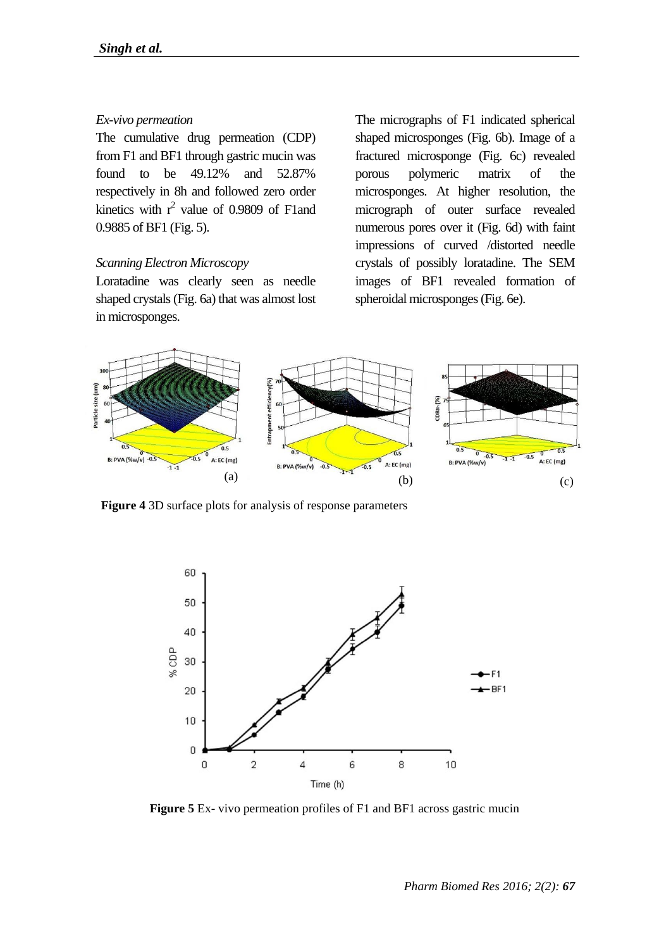#### *Ex-vivo permeation*

The cumulative drug permeation (CDP) from F1 and BF1 through gastric mucin was found to be 49.12% and 52.87% respectively in 8h and followed zero order kinetics with  $r^2$  value of 0.9809 of F1 and 0.9885 of BF1 (Fig. 5).

#### *Scanning Electron Microscopy*

Loratadine was clearly seen as needle shaped crystals (Fig. 6a) that was almost lost in microsponges.

The micrographs of F1 indicated spherical shaped microsponges (Fig. 6b). Image of a fractured microsponge (Fig. 6c) revealed porous polymeric matrix of the microsponges. At higher resolution, the micrograph of outer surface revealed numerous pores over it (Fig. 6d) with faint impressions of curved /distorted needle crystals of possibly loratadine. The SEM images of BF1 revealed formation of spheroidal microsponges (Fig. 6e).



**Figure 4** 3D surface plots for analysis of response parameters



**Figure 5** Ex- vivo permeation profiles of F1 and BF1 across gastric mucin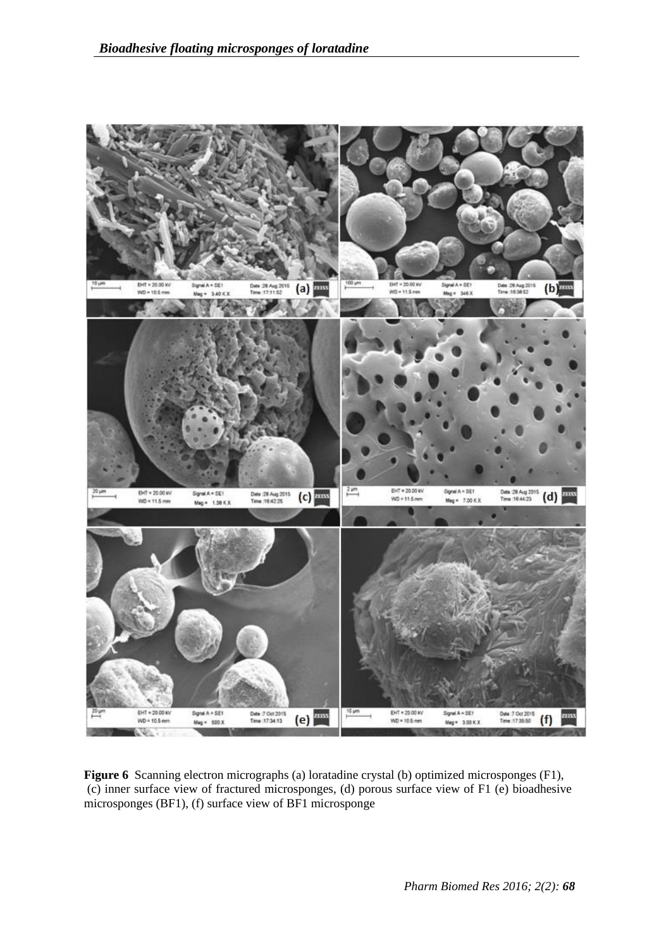

**Figure 6** Scanning electron micrographs (a) loratadine crystal (b) optimized microsponges (F1), (c) inner surface view of fractured microsponges, (d) porous surface view of F1 (e) bioadhesive microsponges (BF1), (f) surface view of BF1 microsponge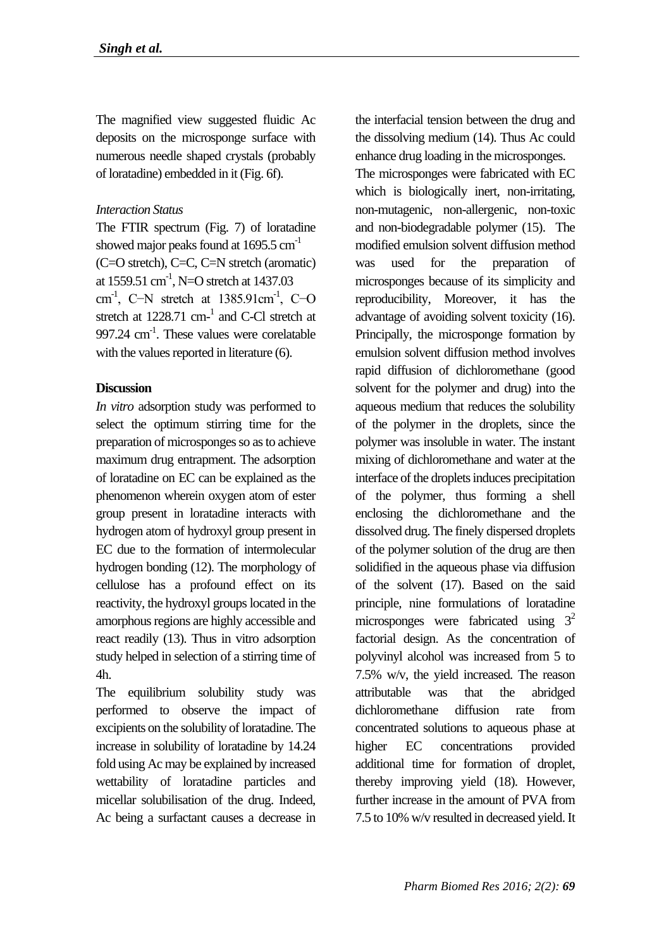The magnified view suggested fluidic Ac deposits on the microsponge surface with numerous needle shaped crystals (probably of loratadine) embedded in it (Fig. 6f).

### *Interaction Status*

The FTIR spectrum (Fig. 7) of loratadine showed major peaks found at  $1695.5 \text{ cm}^{-1}$ (C=O stretch), C=C, C=N stretch (aromatic) at 1559.51 cm<sup>-1</sup>, N=O stretch at 1437.03 cm<sup>-1</sup>, C-N stretch at  $1385.91 \text{cm}^{-1}$ , C-O stretch at 1228.71 cm<sup>-1</sup> and C-Cl stretch at  $997.24$  cm<sup>-1</sup>. These values were corelatable with the values reported in literature  $(6)$ .

### **Discussion**

*In vitro* adsorption study was performed to select the optimum stirring time for the preparation of microsponges so as to achieve maximum drug entrapment. The adsorption of loratadine on EC can be explained as the phenomenon wherein oxygen atom of ester group present in loratadine interacts with hydrogen atom of hydroxyl group present in EC due to the formation of intermolecular hydrogen bonding (12). The morphology of cellulose has a profound effect on its reactivity, the hydroxyl groups located in the amorphous regions are highly accessible and react readily (13). Thus in vitro adsorption study helped in selection of a stirring time of 4h.

The equilibrium solubility study was performed to observe the impact of excipients on the solubility of loratadine. The increase in solubility of loratadine by 14.24 fold using Ac may be explained by increased wettability of loratadine particles and micellar solubilisation of the drug. Indeed, Ac being a surfactant causes a decrease in

the interfacial tension between the drug and the dissolving medium (14). Thus Ac could enhance drug loading in the microsponges. The microsponges were fabricated with EC which is biologically inert, non-irritating, non-mutagenic, non-allergenic, non-toxic and non-biodegradable polymer (15). The modified emulsion solvent diffusion method was used for the preparation of microsponges because of its simplicity and reproducibility, Moreover, it has the advantage of avoiding solvent toxicity (16). Principally, the microsponge formation by emulsion solvent diffusion method involves rapid diffusion of dichloromethane (good solvent for the polymer and drug) into the aqueous medium that reduces the solubility of the polymer in the droplets, since the polymer was insoluble in water. The instant mixing of dichloromethane and water at the interface of the droplets induces precipitation of the polymer, thus forming a shell enclosing the dichloromethane and the dissolved drug. The finely dispersed droplets of the polymer solution of the drug are then solidified in the aqueous phase via diffusion of the solvent (17). Based on the said principle, nine formulations of loratadine microsponges were fabricated using  $3^2$ factorial design. As the concentration of polyvinyl alcohol was increased from 5 to 7.5% w/v, the yield increased. The reason attributable was that the abridged dichloromethane diffusion rate from concentrated solutions to aqueous phase at higher EC concentrations provided additional time for formation of droplet, thereby improving yield (18). However, further increase in the amount of PVA from 7.5 to 10% w/v resulted in decreased yield. It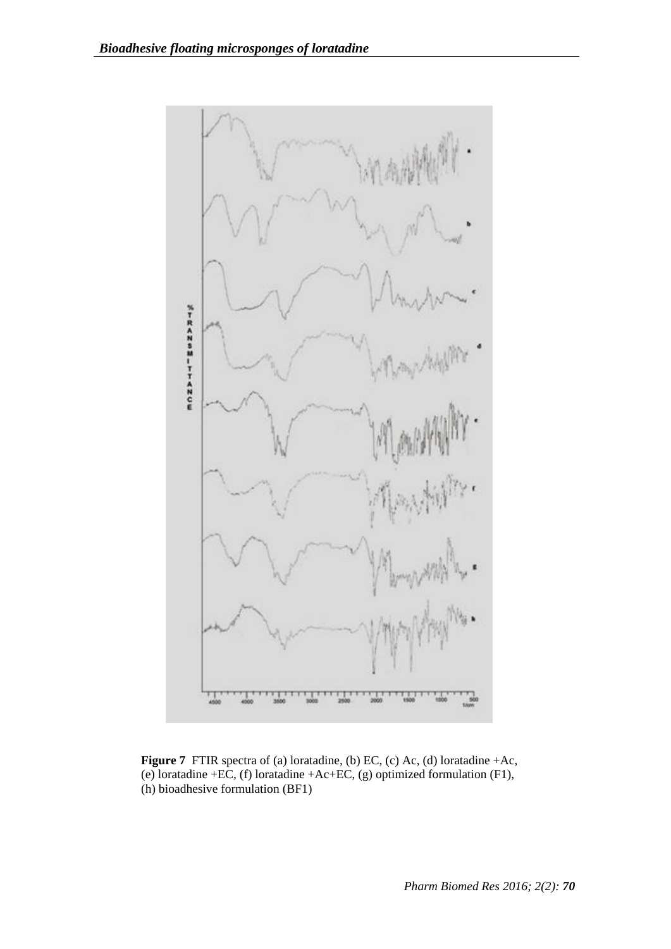

**Figure 7** FTIR spectra of (a) loratadine, (b) EC, (c) Ac, (d) loratadine +Ac, (e) loratadine +EC, (f) loratadine +Ac+EC, (g) optimized formulation  $(F1)$ , (h) bioadhesive formulation (BF1)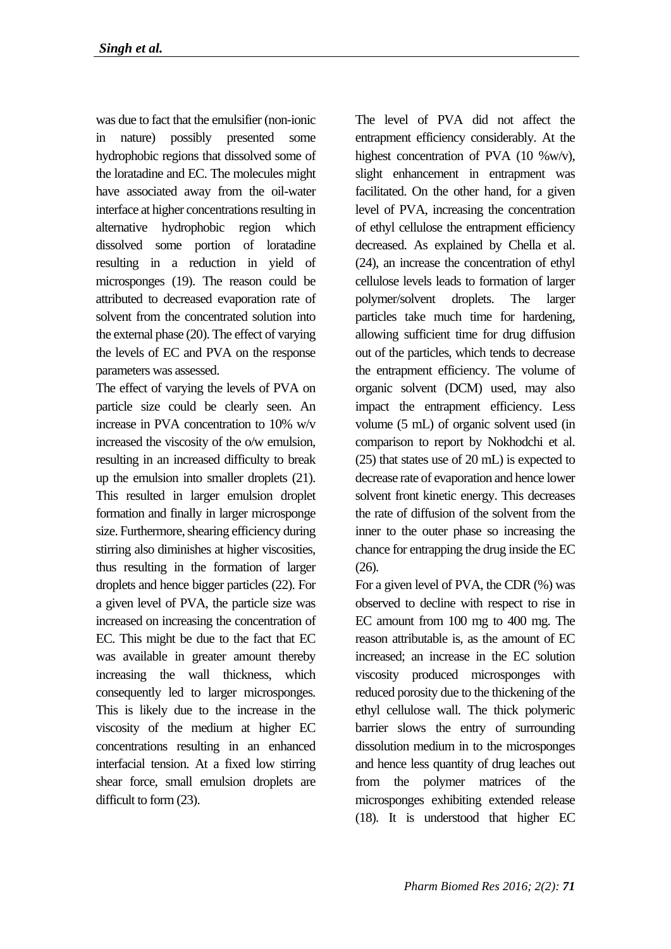was due to fact that the emulsifier (non-ionic in nature) possibly presented some hydrophobic regions that dissolved some of the loratadine and EC. The molecules might have associated away from the oil-water interface at higher concentrations resulting in alternative hydrophobic region which dissolved some portion of loratadine resulting in a reduction in yield of microsponges (19). The reason could be attributed to decreased evaporation rate of solvent from the concentrated solution into the external phase (20). The effect of varying the levels of EC and PVA on the response parameters was assessed.

The effect of varying the levels of PVA on particle size could be clearly seen. An increase in PVA concentration to 10% w/v increased the viscosity of the o/w emulsion, resulting in an increased difficulty to break up the emulsion into smaller droplets (21). This resulted in larger emulsion droplet formation and finally in larger microsponge size. Furthermore, shearing efficiency during stirring also diminishes at higher viscosities, thus resulting in the formation of larger droplets and hence bigger particles (22). For a given level of PVA, the particle size was increased on increasing the concentration of EC. This might be due to the fact that EC was available in greater amount thereby increasing the wall thickness, which consequently led to larger microsponges. This is likely due to the increase in the viscosity of the medium at higher EC concentrations resulting in an enhanced interfacial tension. At a fixed low stirring shear force, small emulsion droplets are difficult to form (23).

The level of PVA did not affect the entrapment efficiency considerably. At the highest concentration of PVA (10 %w/v), slight enhancement in entrapment was facilitated. On the other hand, for a given level of PVA, increasing the concentration of ethyl cellulose the entrapment efficiency decreased. As explained by Chella et al. (24), an increase the concentration of ethyl cellulose levels leads to formation of larger polymer/solvent droplets. The larger particles take much time for hardening, allowing sufficient time for drug diffusion out of the particles, which tends to decrease the entrapment efficiency. The volume of organic solvent (DCM) used, may also impact the entrapment efficiency. Less volume (5 mL) of organic solvent used (in comparison to report by Nokhodchi et al. (25) that states use of 20 mL) is expected to decrease rate of evaporation and hence lower solvent front kinetic energy. This decreases the rate of diffusion of the solvent from the inner to the outer phase so increasing the chance for entrapping the drug inside the EC (26).

For a given level of PVA, the CDR (%) was observed to decline with respect to rise in EC amount from 100 mg to 400 mg. The reason attributable is, as the amount of EC increased; an increase in the EC solution viscosity produced microsponges with reduced porosity due to the thickening of the ethyl cellulose wall. The thick polymeric barrier slows the entry of surrounding dissolution medium in to the microsponges and hence less quantity of drug leaches out from the polymer matrices of the microsponges exhibiting extended release (18). It is understood that higher EC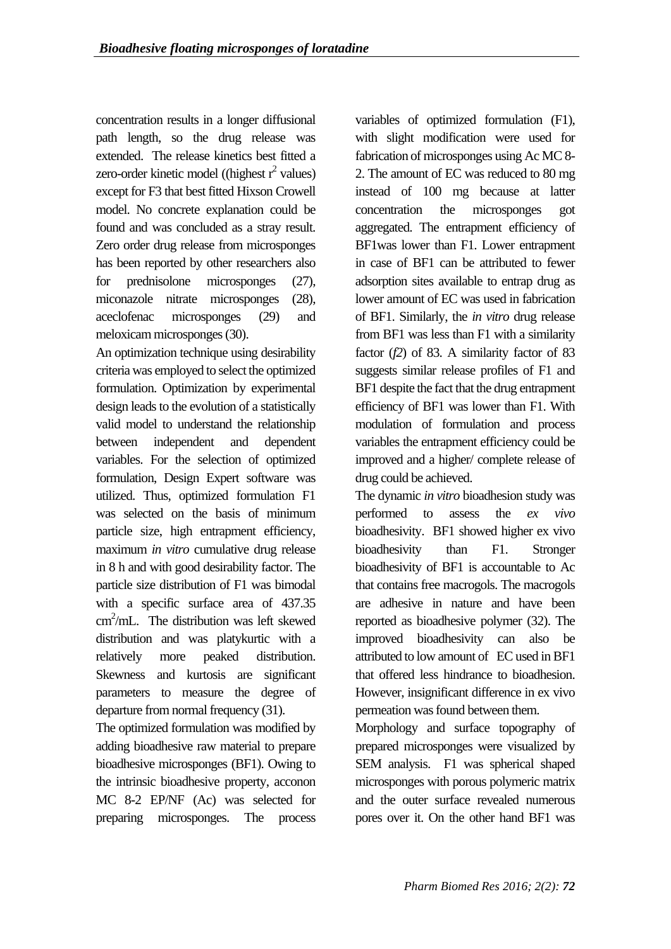concentration results in a longer diffusional path length, so the drug release was extended. The release kinetics best fitted a zero-order kinetic model ((highest  $r^2$  values) except for F3 that best fitted Hixson Crowell model. No concrete explanation could be found and was concluded as a stray result. Zero order drug release from microsponges has been reported by other researchers also for prednisolone microsponges (27), miconazole nitrate microsponges (28), aceclofenac microsponges (29) and meloxicam microsponges (30).

An optimization technique using desirability criteria was employed to select the optimized formulation. Optimization by experimental design leads to the evolution of a statistically valid model to understand the relationship between independent and dependent variables. For the selection of optimized formulation, Design Expert software was utilized. Thus, optimized formulation F1 was selected on the basis of minimum particle size, high entrapment efficiency, maximum *in vitro* cumulative drug release in 8 h and with good desirability factor. The particle size distribution of F1 was bimodal with a specific surface area of 437.35 cm 2 /mL. The distribution was left skewed distribution and was platykurtic with a relatively more peaked distribution. Skewness and kurtosis are significant parameters to measure the degree of departure from normal frequency (31).

The optimized formulation was modified by adding bioadhesive raw material to prepare bioadhesive microsponges (BF1). Owing to the intrinsic bioadhesive property, acconon MC 8-2 EP/NF (Ac) was selected for preparing microsponges. The process variables of optimized formulation (F1), with slight modification were used for fabrication of microsponges using Ac MC 8- 2. The amount of EC was reduced to 80 mg instead of 100 mg because at latter concentration the microsponges got aggregated. The entrapment efficiency of BF1was lower than F1. Lower entrapment in case of BF1 can be attributed to fewer adsorption sites available to entrap drug as lower amount of EC was used in fabrication of BF1. Similarly, the *in vitro* drug release from BF1 was less than F1 with a similarity factor (*f2*) of 83. A similarity factor of 83 suggests similar release profiles of F1 and BF1 despite the fact that the drug entrapment efficiency of BF1 was lower than F1. With modulation of formulation and process variables the entrapment efficiency could be improved and a higher/ complete release of drug could be achieved.

The dynamic *in vitro* bioadhesion study was performed to assess the *ex vivo* bioadhesivity. BF1 showed higher ex vivo bioadhesivity than F1. Stronger bioadhesivity of BF1 is accountable to Ac that contains free macrogols. The macrogols are adhesive in nature and have been reported as bioadhesive polymer (32). The improved bioadhesivity can also be attributed to low amount of EC used in BF1 that offered less hindrance to bioadhesion. However, insignificant difference in ex vivo permeation was found between them.

Morphology and surface topography of prepared microsponges were visualized by SEM analysis. F1 was spherical shaped microsponges with porous polymeric matrix and the outer surface revealed numerous pores over it. On the other hand BF1 was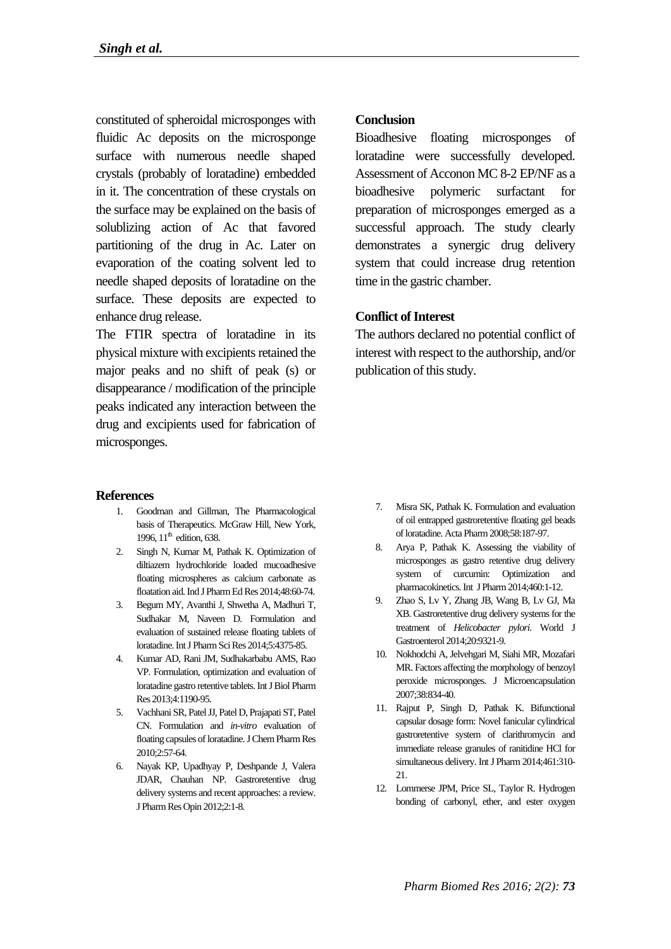constituted of spheroidal microsponges with fluidic Ac deposits on the microsponge surface with numerous needle shaped crystals (probably of loratadine) embedded in it. The concentration of these crystals on the surface may be explained on the basis of solublizing action of Ac that favored partitioning of the drug in Ac. Later on evaporation of the coating solvent led to needle shaped deposits of loratadine on the surface. These deposits are expected to enhance drug release.

The FTIR spectra of loratadine in its physical mixture with excipients retained the major peaks and no shift of peak (s) or disappearance / modification of the principle peaks indicated any interaction between the drug and excipients used for fabrication of microsponges.

#### **References**

- 1. Goodman and Gillman, The Pharmacological basis of Therapeutics. McGraw Hill, New York, 1996,  $11^{th}$  edition, 638.
- 2. Singh N, Kumar M, Pathak K. Optimization of diltiazem hydrochloride loaded mucoadhesive floating microspheres as calcium carbonate as floatation aid. Ind J Pharm Ed Res 2014;48:60-74.
- 3. Begum MY, Avanthi J, Shwetha A, Madhuri T, Sudhakar M, Naveen D. Formulation and evaluation of sustained release floating tablets of loratadine. Int J Pharm Sci Res 2014;5:4375-85.
- 4. Kumar AD, Rani JM, Sudhakarbabu AMS, Rao VP. Formulation, optimization and evaluation of loratadine gastro retentive tablets. Int J Biol Pharm Res 2013;4:1190-95.
- 5. Vachhani SR, Patel JJ, Patel D, Prajapati ST, Patel CN. Formulation and *in-vitro* evaluation of floating capsules of loratadine. J Chem Pharm Res 2010;2:57-64.
- 6. Nayak KP, Upadhyay P, Deshpande J, Valera JDAR, Chauhan NP. Gastroretentive drug delivery systems and recent approaches: a review. J Pharm Res Opin 2012;2:1-8.

#### **Conclusion**

Bioadhesive floating microsponges of loratadine were successfully developed. Assessment of Acconon MC 8-2 EP/NF as a bioadhesive polymeric surfactant for preparation of microsponges emerged as a successful approach. The study clearly demonstrates a synergic drug delivery system that could increase drug retention time in the gastric chamber.

### **Conflict of Interest**

The authors declared no potential conflict of interest with respect to the authorship, and/or publication of this study.

- 7. Misra SK, Pathak K. Formulation and evaluation of oil entrapped gastroretentive floating gel beads of loratadine. Acta Pharm 2008;58:187-97.
- 8. Arya P, Pathak K. Assessing the viability of microsponges as gastro retentive drug delivery system of curcumin: Optimization and pharmacokinetics. Int J Pharm 2014;460:1-12.
- 9. Zhao S, Lv Y, Zhang JB, Wang B, Lv GJ, Ma XB. Gastroretentive drug delivery systems for the treatment of *Helicobacter pylori*. World J Gastroenterol 2014;20:9321-9.
- 10. Nokhodchi A, Jelvehgari M, Siahi MR, Mozafari MR. Factors affecting the morphology of benzoyl peroxide microsponges. J Microencapsulation 2007;38:834-40.
- 11. Rajput P, Singh D, Pathak K. Bifunctional capsular dosage form: Novel fanicular cylindrical gastroretentive system of clarithromycin and immediate release granules of ranitidine HCl for simultaneous delivery. Int J Pharm 2014;461:310- 21.
- 12. Lommerse JPM, Price SL, Taylor R. Hydrogen bonding of carbonyl, ether, and ester oxygen